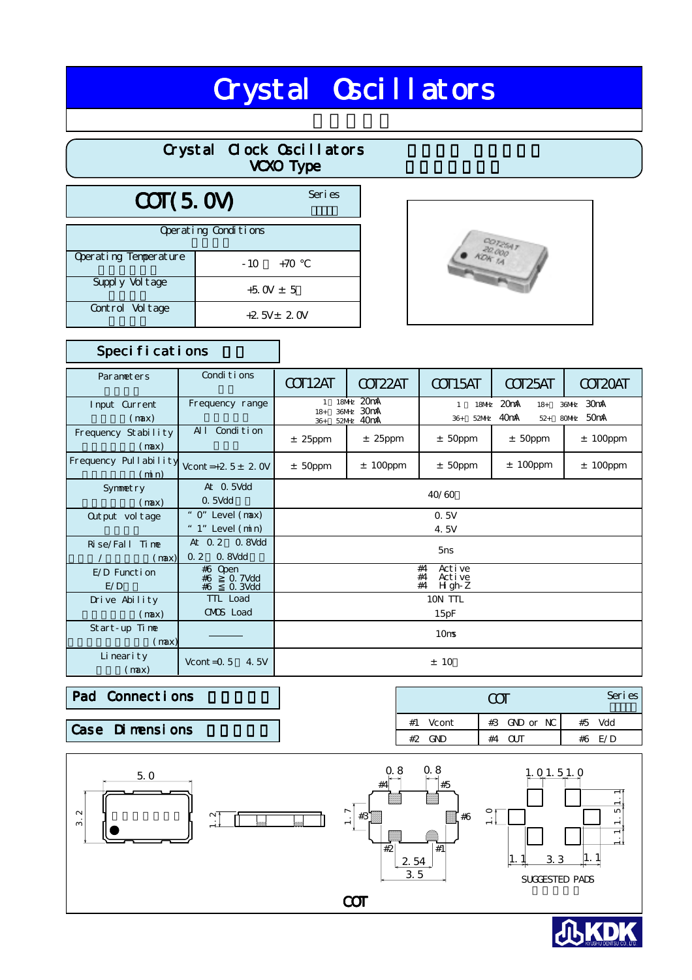# **Crystal Oscillators**

|                       |                      | Crystal Clock Oscillators<br><b>VCXO Type</b> |  |
|-----------------------|----------------------|-----------------------------------------------|--|
| COT(5.0V)             |                      | Seri es                                       |  |
|                       | Operating Conditions |                                               |  |
| Operating Temperature | $-10$                | $+70$                                         |  |
| Supply Vol tage       | $+5$ OV $\pm$ 5      |                                               |  |
| Control Voltage       |                      | $+2.5V \pm 2.0V$                              |  |



## Specifications

| Parameters                    | Conditions                                       | COT12AT                                                                  | COT <sub>22</sub> AT | COT15AT                                                                                                         | COT <sub>25</sub> AT | COT2OAT     |
|-------------------------------|--------------------------------------------------|--------------------------------------------------------------------------|----------------------|-----------------------------------------------------------------------------------------------------------------|----------------------|-------------|
| Input Current<br>(max)        | Frequency range                                  | 18MHz 20mA<br>$\mathbf{1}$<br>36MHz 30mA<br>$18+$<br>52MHz 40mA<br>$36+$ |                      | 20mA<br>30mA<br><b>18MHz</b><br>$18+$<br>36MHz<br>40mA<br>50 <sub>m</sub> A<br>80MHz<br>52MHz<br>$36+$<br>$52+$ |                      |             |
| Frequency Stability<br>(max)  | Condition<br>AI                                  | $±$ 25ppm<br>$±$ 25ppm                                                   |                      | $±$ 50ppm                                                                                                       | $±$ 50ppm            | $± 100$ ppm |
| Frequency Pullability<br>(mn) | Vcont = +2. $5 \pm 2$ . OV                       | $±$ 50ppm                                                                | $± 100$ ppm          | $±$ 50ppm                                                                                                       | $± 100$ ppm          | $± 100$ ppm |
| Symmetry<br>(max)             | At O. 5Vdd<br>O. 5Vdd                            |                                                                          |                      | 40/60                                                                                                           |                      |             |
| Out put vol tage              | " O" Level (max)<br>" $1$ " Level $(\text{min})$ | 0.5V<br>4.5V                                                             |                      |                                                                                                                 |                      |             |
| Rise/Fall Time<br>(max)       | At 0.2 0.8Vdd<br>0.2<br>0. 8Vdd                  | 5 <sub>ns</sub>                                                          |                      |                                                                                                                 |                      |             |
| E/D Function<br>E/D           | #6 Open<br>0. 7Vdd<br>#6<br>O. 3Vdd<br>#6        | Active<br>#4<br>#4<br>Active<br>$H$ gh-Z<br>#4                           |                      |                                                                                                                 |                      |             |
| Drive Ability<br>(max)        | TTL Load<br>CMOS Load                            | 10N TTL<br>15pF                                                          |                      |                                                                                                                 |                      |             |
| Start-up Time<br>(max)        |                                                  | 10 <sub>ms</sub>                                                         |                      |                                                                                                                 |                      |             |
| Li neari ty<br>(max)          | Vcont = $0.5$<br>4.5V                            | ± 10                                                                     |                      |                                                                                                                 |                      |             |

#### Pad Connections

Case Dimensions

|            | 7 N            | Series   |
|------------|----------------|----------|
| $#1$ Vcont | $#3$ GND or NC | #5 Vdd   |
| #2 GND     | NП<br>#4       | #6 $F/D$ |



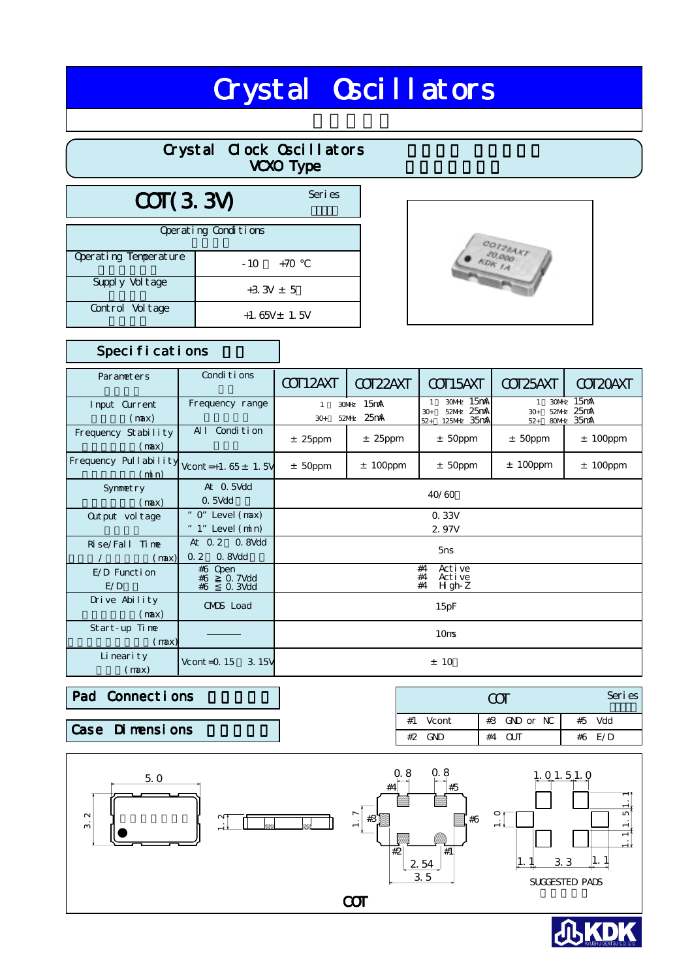# **Crystal Oscillators**

|                       |                      | Crystal Clock Oscillators<br><b>VCXO Type</b> |                                                                                              |
|-----------------------|----------------------|-----------------------------------------------|----------------------------------------------------------------------------------------------|
| COT(3.3V)             |                      | Seri es                                       |                                                                                              |
|                       | Operating Conditions |                                               |                                                                                              |
| Operating Temperature | $-10$                | $+70$                                         | $\begin{array}{c} {^{CO}T28487} \\ {^{SO}0000} \\ {^{CO}T200} \\ {^{CO}T200} \\ \end{array}$ |
| Supply Vol tage       |                      | $+3.3V \pm 5$                                 |                                                                                              |
| Control Voltage       |                      | $+1.65V \pm 1.5V$                             |                                                                                              |



### Specifications

| Parameters                    | Conditions                                            | COT12AXT                                          | COT22AXT    | COT15AXT                                                                  | COT25AXT                                                                     | COT2OAXT    |
|-------------------------------|-------------------------------------------------------|---------------------------------------------------|-------------|---------------------------------------------------------------------------|------------------------------------------------------------------------------|-------------|
| Input Current<br>(max)        | Frequency range                                       | 30MHz 15mA<br>$\mathbf{1}$<br>52MHz 25mA<br>$30+$ |             | 30MHz 15mA<br>$\mathbf{1}$<br>52MHz 25mA<br>$30+$<br>125MHz 35mA<br>$52+$ | 15mA<br>30MHz<br>$\mathbf{1}$<br>52MHz 25mA<br>$30 +$<br>80MHz 35mA<br>$52+$ |             |
| Frequency Stability<br>(max)  | Condi ti on<br>AI                                     | $±$ 25ppm                                         | $±$ 25ppm   | $±$ 50ppm                                                                 | $±$ 50ppm                                                                    | $± 100$ ppm |
| Frequency Pullability<br>(mn) | Vcont = +1. $65 \pm 1$ . 5V                           | $±$ 50ppm                                         | $± 100$ ppm | $±$ 50ppm                                                                 | $± 100$ ppm                                                                  | $± 100$ ppm |
| Symmetry<br>(max)             | At O. 5Vdd<br>0.5Vdd                                  |                                                   |             | 40/60                                                                     |                                                                              |             |
| Out put vol tage              | " $0$ " Level $(max)$<br>" $1$ " Level $(\text{min})$ |                                                   |             | 0. 33V<br>2.97V                                                           |                                                                              |             |
| Rise/Fall Time<br>(max)       | At 0.2 0.8Vdd<br>0.2<br>O. 8Vdd                       | 5 <sub>ns</sub>                                   |             |                                                                           |                                                                              |             |
| E/D Function<br>E/D           | #6 Open<br>0. 7Vdd<br>#6<br>#6<br>O. 3Vdd             |                                                   |             | Active<br>#4<br>Active<br>#4<br>#4<br>$H$ gh-Z                            |                                                                              |             |
| Drive Ability<br>(max)        | CMOS Load                                             | 15pF                                              |             |                                                                           |                                                                              |             |
| Start-up Time<br>(max)        |                                                       |                                                   |             | 10 <sub>ms</sub>                                                          |                                                                              |             |
| Li neari ty<br>(max)          | Vcont = $0.15$<br>3.15V                               |                                                   |             | ±10                                                                       |                                                                              |             |

Pad Connections

Case Dimensions

|            | Series       |        |
|------------|--------------|--------|
| $#1$ Vcont | #3 GND or NC | #5 Vdd |
| $#2$ GND   | #4 OIT       | #6 E/D |